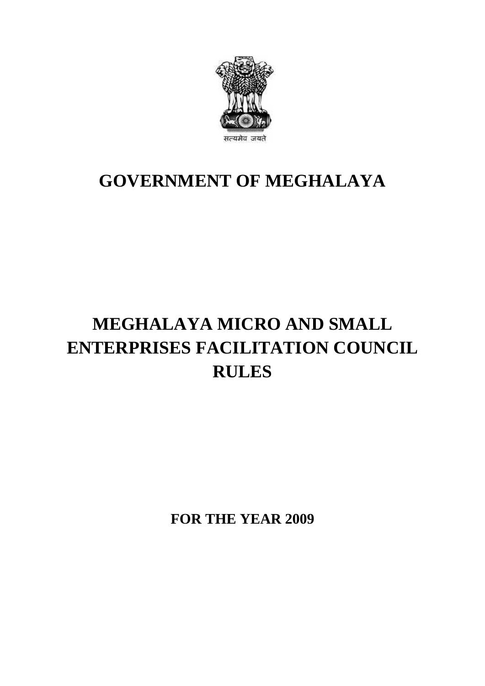

### **GOVERNMENT OF MEGHALAYA**

# **MEGHALAYA MICRO AND SMALL ENTERPRISES FACILITATION COUNCIL RULES**

**FOR THE YEAR 2009**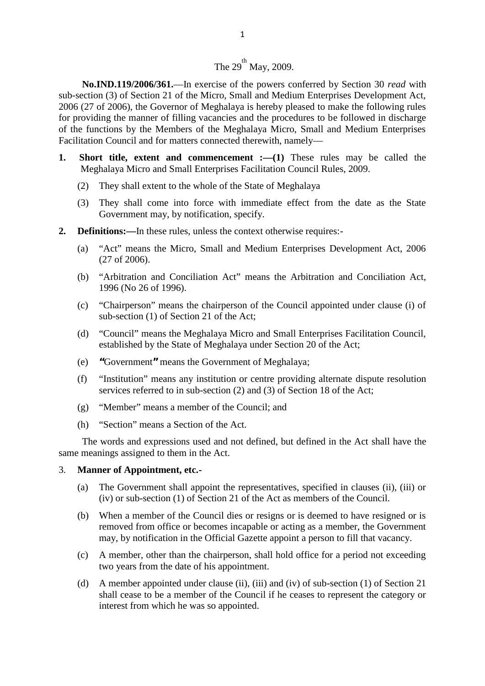## $\frac{1}{2}$  $\frac{1}{2}$ The 29<sup>th</sup> May, 2009.<br>
Sise of the powers confer

**No.IND.119/2006/361.**—In exercise of the powers conferred by Section 30 *read* with sub-section (3) of Section 21 of the Micro, Small and Medium Enterprises Development Act, 2006 (27 of 2006), the Governor of Meghalaya is hereby pleased to make the following rules for providing the manner of filling vacancies and the procedures to be followed in discharge of the functions by the Members of the Meghalaya Micro, Small and Medium Enterprises Facilitation Council and for matters connected therewith, namely— 2006 (27 of 2006), the Governor of Meghalaya is hereby pleased to make the following rules<br>for providing the manner of filling vacancies and the procedures to be followed in discharge<br>of the functions by the Members of the

- Meghalaya Micro and Small Enterprises Facilitation Council Rules, 2009. e functions by the Members of the Meghalaya Micro, Small and M<br>itation Council and for matters connected therewith, namely—<br>**Short title, extent and commencement :—(1)** These rules m<br>Meghalaya Micro and Small Enterprises F (3) They shall come into force with immediate effect from the date as the State Government may, by notification, specify.
	-
- (2) They shall extent to the whole of the State of Meghalaya<br>
(3) They shall come into force with immediate effect from the date as the State<br>
Government may, by notification, specify.<br> **Definitions:**—In these rules, unles **2. Definitions:—**In these rules, unless the context otherwise requires:-
- - (a) "Act" means the Micro, Small and Medium Enterprises Development Act, 2006 (27 of 2006).
	- (b) "Arbitration and Conciliation Act" means the Arbitration and Conciliation Act, 1996 (No 26 of 1996).
	- (c) "Chairperson" means the chairperson of the Council appointed under clause (i) of sub-section (1) of Section 21 of the Act; (b) "Arbitration and Conciliation Act" means the Arbitration and Conciliation Act,<br>1996 (No 26 of 1996).<br>(c) "Chairperson" means the chairperson of the Council appointed under clause (i) of<br>sub-section (1) of Section 21 o
	- established by the State of Meghalaya under Section 20 of the Act; (d) "Council" means the Meghalaya Micro and Small Enterprises Facilitation Council, established by the State of Meghalaya under Section 20 of the Act;<br>
	(e) "Government" means the Government of Meghalaya;<br>
	(f) "Institution"
	-
	- "Institution" means any institution or centre providing alternate dispute resolution services referred to in sub-section (2) and (3) of Section 18 of the Act;
	- (g) "Member" means a member of the Council; and
	- (h) "Section" means a Section of the Act.

The words and expressions used and not defined, but defined in the Act shall have the<br>meanings assigned to them in the Act.<br>The words and expressions used and not defined, but defined in the Act shall have the<br>meanings ass same meanings assigned to them in the Act. (a) Section means a section of the rect.<br>The words and expressions used and not defined, but defined in the Act shall have the<br>examings assigned to them in the Act.<br>**Manner of Appointment, etc.-**<br>(a) The Government shall

### 3. **Manner of Appointment, etc.-**

- (iv) or sub-section (1) of Section 21 of the Act as members of the Council.
- **Manner of Appointment, etc.**<br>
(a) The Government shall appoint the representatives, specified in clauses (ii), (iii) or<br>
(iv) or sub-section (1) of Section 21 of the Act as members of the Council.<br>
(b) When a member of t removed from office or becomes incapable or acting as a member, the Government may, by notification in the Official Gazette appoint a person to fill that vacancy. (iv) or sub-section (1) of Section 21 of the Act as members of the Council.<br>
(b) When a member of the Council dies or resigns or is deemed to have resigned or is<br>
removed from office or becomes incapable or acting as a mem
- two years from the date of his appointment. (c) A member, other than the chairperson, shall hold office for a period not exceeding<br>two years from the date of his appointment.<br>(d) A member appointed under clause (ii), (iii) and (iv) of sub-section (1) of Section 21
- shall cease to be a member of the Council if he ceases to represent the category or interest from which he was so appointed.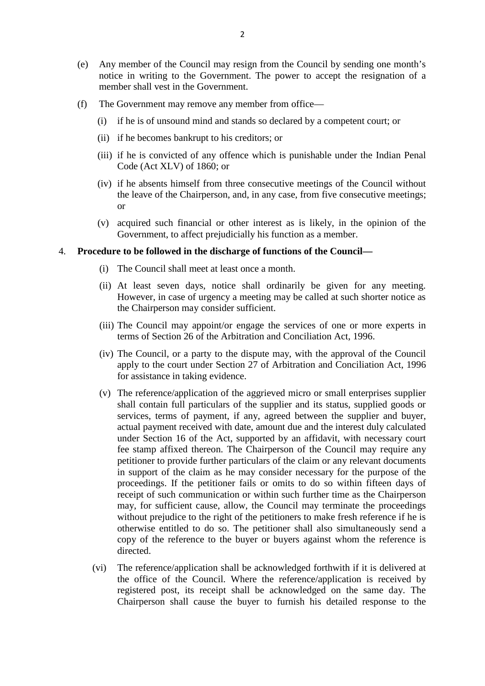- (e) Any member of the Council may resign from the Council by sending one month's notice in writing to the Government. The power to accept the resignation of a member shall vest in the Government. (e) Any member of the Council may resign from the Council by sending one notice in writing to the Government. The power to accept the resignation-<br>member shall vest in the Government.<br>(f) The Government may remove any memb (ii) if he is of unsound mind and stands so declared by a competent court; or<br>
(ii) if he is of unsound mind and stands so declared by a competent court; or<br>
(ii) if he becomes bankrupt to his creditors; or member shall vest in the Government.<br>
The Government may remove any member from offic<br>
(i) if he is of unsound mind and stands so declared l<br>
(ii) if he becomes bankrupt to his creditors; or<br>
(iii) if he is convicted of an
- -
	-
- (i) if he is of unsound mind and stands so declared by a competent court; or<br>
(ii) if he becomes bankrupt to his creditors; or<br>
(iii) if he is convicted of any offence which is punishable under the Indian Penal<br>
Code (Act Code (Act XLV) of 1860; or
	- (i) if he is of ansoand initia and stands so declared by a competent coalt, of<br>
	(ii) if he is convicted of any offence which is punishable under the Indian Penal<br>
	Code (Act XLV) of 1860; or<br>
	(iv) if he absents himself fro the leave of the Chairperson, and, in any case, from five consecutive meetings; or Code (Act XLV) of 1860; or<br>
	(iv) if he absents himself from three consecutive meetings of the Council without<br>
	the leave of the Chairperson, and, in any case, from five consecutive meetings;<br>
	or<br>
	(v) acquired such financia
	- Government, to affect prejudicially his function as a member. (v) acquired such financial or other interest as is likely, in the opinion of the Government, to affect prejudicially his function as a member.<br> **edure to be followed in the discharge of functions of the Council—**<br>
	(i) Th

#### 4. **Procedure to be followed in the discharge of functions of the Council—**

- 
- (ii) At least seven days, notice shall ordinarily be given for any meeting. However, in case of urgency a meeting may be called at such shorter notice as the Chairperson may consider sufficient. (i) The Council shall meet at least once a month.<br>
(ii) At least seven days, notice shall ordinarily be given for any meeting.<br>
However, in case of urgency a meeting may be called at such shorter notice as<br>
the Chairperson
- terms of Section 26 of the Arbitration and Conciliation Act, 1996.
- However, in case of urgency a meeting may be called at such shorter notice as<br>the Chairperson may consider sufficient.<br>(iii) The Council may appoint/or engage the services of one or more experts in<br>terms of Section 26 of t apply to the court under Section 27 of Arbitration and Conciliation Act, 1996 for assistance in taking evidence. terms of Section 26 of the Arbitration and Conciliation Act, 1996.<br>
(iv) The Council, or a party to the dispute may, with the approval of the Council<br>
apply to the court under Section 27 of Arbitration and Conciliation Act
- services, terms of payment, if any, agreed between the supplier and buyer, actual payment received with date, amount due and the interest duly calculated under Section 16 of the Act, supported by an affidavit, with necessary court fee stamp affixed thereon. The Chairperson of the Council may require any petitioner to provide further particulars of the claim or any relevant documents in support of the claim as he may consider necessary for the purpose of the proceedings. If the petitioner fails or omits to do so within fifteen days of under Section 16 of the Act, supported by an affidavit, with necessary court<br>fee stamp affixed thereon. The Chairperson of the Council may require any<br>petitioner to provide further particulars of the claim or any relevant may, for sufficient cause, allow, the Council may terminate the proceedings without prejudice to the right of the petitioners to make fresh reference if he is otherwise entitled to do so. The petitioner shall also simultaneously send a copy of the reference to the buyer or buyers against whom the reference is directed. (vi) The reference/application shall be acknowledged forthwith if it is delivered at the office of the Council. Where the reference/application is received by the office of the Council. Where the reference/application is r
- the office of the Council. Where the reference/application is received by registered post, its receipt shall be acknowledged on the same day. The Chairperson shall cause the buyer to furnish his detailed response to the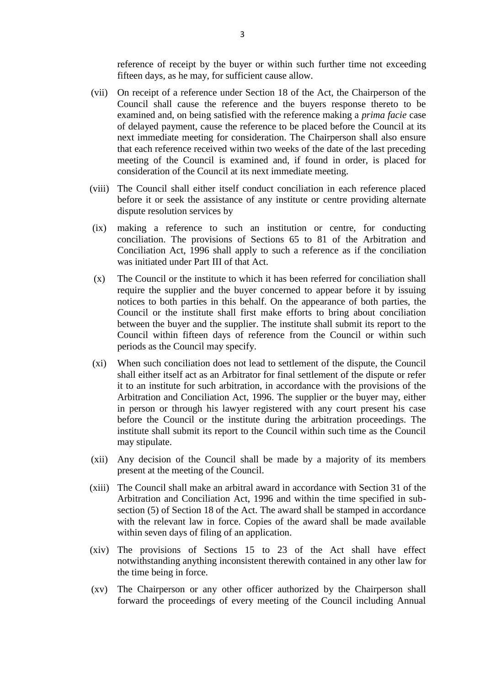reference of receipt by the buyer or within such further time not exceeding fifteen days, as he may, for sufficient cause allow.

- 3<br>
reference of receipt by the buyer or within such further time not exceeding<br>
fifteen days, as he may, for sufficient cause allow.<br>
(vii) On receipt of a reference under Section 18 of the Act, the Chairperson of the<br>
Cou examined and, on being satisfied with the reference making a *prima facie* case of delayed payment, cause the reference to be placed before the Council at its next immediate meeting for consideration. The Chairperson shall also ensure that each reference received within two weeks of the date of the last preceding Council shall cause the reference and the buyers response thereto to be examined and, on being satisfied with the reference making a *prima facie* case of delayed payment, cause the reference to be placed before the Counci consideration of the Council at its next immediate meeting. (viii) The Council shall either itself conduct conciliation in each reference placed before it or seek the assistance of any institute or centre providing alternate before it or seek the assistance of any institute or cent meeting of the Council is examined and, if found in order, is placed for consideration of the Council at its next immediate meeting.<br>The Council shall either itself conduct conciliation in each reference placed before it o
- dispute resolution services by consideration of the Council at its next immediate meeting.<br>
viii) The Council shall either itself conduct conciliation in each reference placed<br>
before it or seek the assistance of any institute or centre providing altern
- conciliation. The provisions of Sections 65 to 81 of the Arbitration and Conciliation Act, 1996 shall apply to such a reference as if the conciliation was initiated under Part III of that Act. (ix) making a reference to such an institution or centre, for conducting<br>conciliation. The provisions of Sections 65 to 81 of the Arbitration and<br>Conciliation Act, 1996 shall apply to such a reference as if the conciliati require the provisions of Sections 65 to 81 of the Arbitration and<br>Conciliation Act, 1996 shall apply to such a reference as if the conciliation<br>was initiated under Part III of that Act.<br>The Council or the institute to whi
- conciliation. The provisions of beetions of the application and Conciliation and Conciliation Act, 1996 shall apply to such a reference as if the conciliation was initiated under Part III of that Act.<br>The Council or the in Council or the institute shall first make efforts to bring about conciliation between the buyer and the supplier. The institute shall submit its report to the The Council or the institute to which it has been referred for conciliation shall require the supplier and the buyer concerned to appear before it by issuing notices to both parties in this behalf. On the appearance of bot periods as the Council may specify. (xi) When such conciliation does not lead to settlement of the dispute, the Council shall either itself act as an Arbitrator for final settlement of the dispute, the Council shall either itself act as an Arbitrator for fin
- shall either itself act as an Arbitrator for final settlement of the dispute or refer When such conciliation does not lead to settlement of the dispute, the Council shall either itself act as an Arbitration for final settlement of the dispute or refer it to an institute for such arbitration, in accordance w Arbitration and Conciliation Act, 1996. The supplier or the buyer may, either in person or through his lawyer registered with any court present his case before the Council or the institute during the arbitration proceedings. The institute shall submit its report to the Council within such time as the Council may stipulate. (xii) Any decision of the Council shall be made by a majority of its members present at the meeting of the Council shall be made by a majority of its members present at the meeting of the Council.
- present at the meeting of the Council.
- institute shall submit its report to the Council within such time as the Council<br>may stipulate.<br>(xii) Any decision of the Council shall be made by a majority of its members<br>present at the meeting of the Council.<br>(xiii) The Arbitration and Conciliation Act, 1996 and within the time specified in subsection (5) of Section 18 of the Act. The award shall be stamped in accordance with the relevant law in force. Copies of the award shall be made available within seven days of filing of an application. (xiv) The council shall have an about a wall in accordance with section 51 of the Arbitration and Conciliation Act, 1996 and within the time specified in subsection (5) of Section 18 of the Act. The award shall be stamped
- notwithstanding anything inconsistent therewith contained in any other law for the time being in force. within seven days of filing of an application.<br>
(xiv) The provisions of Sections 15 to 23 of the Act shall have effect<br>
notwithstanding anything inconsistent therewith contained in any other law for<br>
the time being in forc
- forward the proceedings of every meeting of the Council including Annual